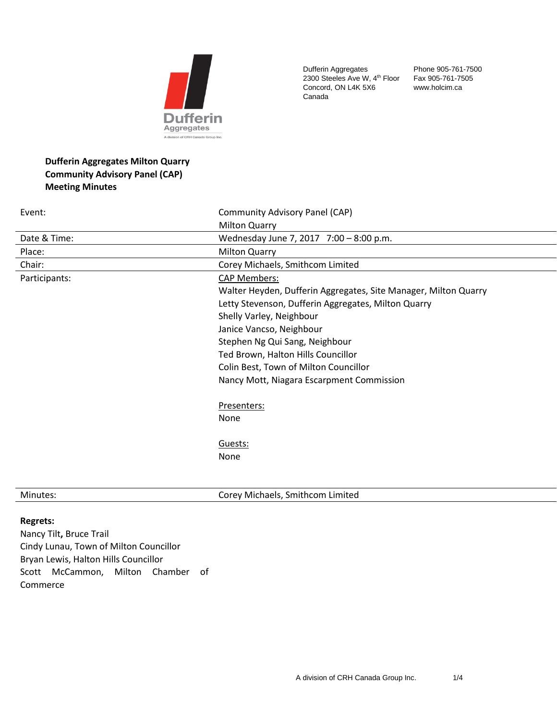

Dufferin Aggregates 2300 Steeles Ave W, 4<sup>th</sup> Floor Concord, ON L4K 5X6 Canada

Phone 905-761-7500 Fax 905-761-7505 www.holcim.ca

# **Dufferin Aggregates Milton Quarry Community Advisory Panel (CAP) Meeting Minutes**

| Event:        | Community Advisory Panel (CAP)                                  |
|---------------|-----------------------------------------------------------------|
|               | <b>Milton Quarry</b>                                            |
| Date & Time:  | Wednesday June 7, 2017 7:00 - 8:00 p.m.                         |
| Place:        | <b>Milton Quarry</b>                                            |
| Chair:        | Corey Michaels, Smithcom Limited                                |
| Participants: | <b>CAP Members:</b>                                             |
|               | Walter Heyden, Dufferin Aggregates, Site Manager, Milton Quarry |
|               | Letty Stevenson, Dufferin Aggregates, Milton Quarry             |
|               | Shelly Varley, Neighbour                                        |
|               | Janice Vancso, Neighbour                                        |
|               | Stephen Ng Qui Sang, Neighbour                                  |
|               | Ted Brown, Halton Hills Councillor                              |
|               | Colin Best, Town of Milton Councillor                           |
|               | Nancy Mott, Niagara Escarpment Commission                       |
|               | Presenters:                                                     |
|               | None                                                            |
|               | Guests:                                                         |
|               | None                                                            |
|               |                                                                 |
|               |                                                                 |

Minutes: Corey Michaels, Smithcom Limited

## **Regrets:**

Nancy Tilt**,** Bruce Trail Cindy Lunau, Town of Milton Councillor Bryan Lewis, Halton Hills Councillor Scott McCammon, Milton Chamber of Commerce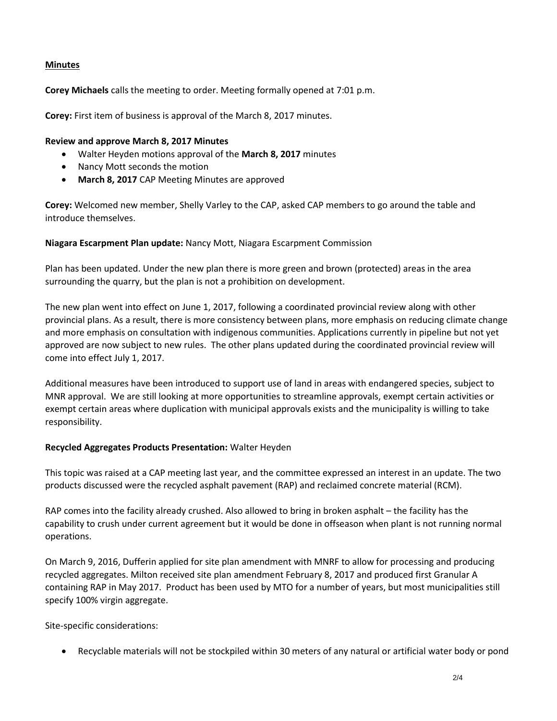## **Minutes**

**Corey Michaels** calls the meeting to order. Meeting formally opened at 7:01 p.m.

**Corey:** First item of business is approval of the March 8, 2017 minutes.

#### **Review and approve March 8, 2017 Minutes**

- Walter Heyden motions approval of the **March 8, 2017** minutes
- Nancy Mott seconds the motion
- **March 8, 2017** CAP Meeting Minutes are approved

**Corey:** Welcomed new member, Shelly Varley to the CAP, asked CAP members to go around the table and introduce themselves.

### **Niagara Escarpment Plan update:** Nancy Mott, Niagara Escarpment Commission

Plan has been updated. Under the new plan there is more green and brown (protected) areas in the area surrounding the quarry, but the plan is not a prohibition on development.

The new plan went into effect on June 1, 2017, following a coordinated provincial review along with other provincial plans. As a result, there is more consistency between plans, more emphasis on reducing climate change and more emphasis on consultation with indigenous communities. Applications currently in pipeline but not yet approved are now subject to new rules. The other plans updated during the coordinated provincial review will come into effect July 1, 2017.

Additional measures have been introduced to support use of land in areas with endangered species, subject to MNR approval. We are still looking at more opportunities to streamline approvals, exempt certain activities or exempt certain areas where duplication with municipal approvals exists and the municipality is willing to take responsibility.

### **Recycled Aggregates Products Presentation:** Walter Heyden

This topic was raised at a CAP meeting last year, and the committee expressed an interest in an update. The two products discussed were the recycled asphalt pavement (RAP) and reclaimed concrete material (RCM).

RAP comes into the facility already crushed. Also allowed to bring in broken asphalt – the facility has the capability to crush under current agreement but it would be done in offseason when plant is not running normal operations.

On March 9, 2016, Dufferin applied for site plan amendment with MNRF to allow for processing and producing recycled aggregates. Milton received site plan amendment February 8, 2017 and produced first Granular A containing RAP in May 2017. Product has been used by MTO for a number of years, but most municipalities still specify 100% virgin aggregate.

Site-specific considerations:

• Recyclable materials will not be stockpiled within 30 meters of any natural or artificial water body or pond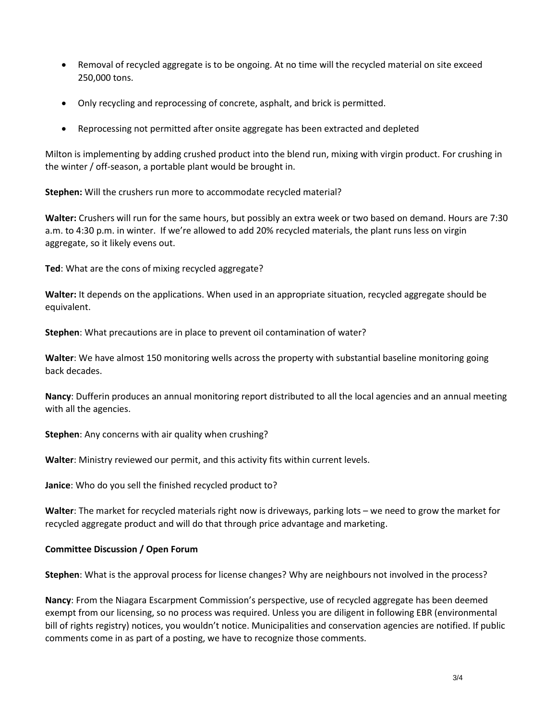- Removal of recycled aggregate is to be ongoing. At no time will the recycled material on site exceed 250,000 tons.
- Only recycling and reprocessing of concrete, asphalt, and brick is permitted.
- Reprocessing not permitted after onsite aggregate has been extracted and depleted

Milton is implementing by adding crushed product into the blend run, mixing with virgin product. For crushing in the winter / off-season, a portable plant would be brought in.

**Stephen:** Will the crushers run more to accommodate recycled material?

**Walter:** Crushers will run for the same hours, but possibly an extra week or two based on demand. Hours are 7:30 a.m. to 4:30 p.m. in winter. If we're allowed to add 20% recycled materials, the plant runs less on virgin aggregate, so it likely evens out.

**Ted**: What are the cons of mixing recycled aggregate?

**Walter:** It depends on the applications. When used in an appropriate situation, recycled aggregate should be equivalent.

**Stephen**: What precautions are in place to prevent oil contamination of water?

**Walter**: We have almost 150 monitoring wells across the property with substantial baseline monitoring going back decades.

**Nancy**: Dufferin produces an annual monitoring report distributed to all the local agencies and an annual meeting with all the agencies.

**Stephen**: Any concerns with air quality when crushing?

**Walter**: Ministry reviewed our permit, and this activity fits within current levels.

**Janice**: Who do you sell the finished recycled product to?

**Walter**: The market for recycled materials right now is driveways, parking lots – we need to grow the market for recycled aggregate product and will do that through price advantage and marketing.

## **Committee Discussion / Open Forum**

**Stephen**: What is the approval process for license changes? Why are neighbours not involved in the process?

**Nancy**: From the Niagara Escarpment Commission's perspective, use of recycled aggregate has been deemed exempt from our licensing, so no process was required. Unless you are diligent in following EBR (environmental bill of rights registry) notices, you wouldn't notice. Municipalities and conservation agencies are notified. If public comments come in as part of a posting, we have to recognize those comments.